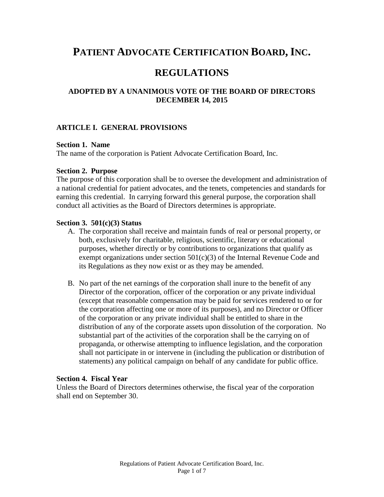# **PATIENT ADVOCATE CERTIFICATION BOARD, INC.**

# **REGULATIONS**

# **ADOPTED BY A UNANIMOUS VOTE OF THE BOARD OF DIRECTORS DECEMBER 14, 2015**

### **ARTICLE I. GENERAL PROVISIONS**

#### **Section 1. Name**

The name of the corporation is Patient Advocate Certification Board, Inc.

#### **Section 2. Purpose**

The purpose of this corporation shall be to oversee the development and administration of a national credential for patient advocates, and the tenets, competencies and standards for earning this credential. In carrying forward this general purpose, the corporation shall conduct all activities as the Board of Directors determines is appropriate.

#### **Section 3. 501(c)(3) Status**

- A. The corporation shall receive and maintain funds of real or personal property, or both, exclusively for charitable, religious, scientific, literary or educational purposes, whether directly or by contributions to organizations that qualify as exempt organizations under section  $501(c)(3)$  of the Internal Revenue Code and its Regulations as they now exist or as they may be amended.
- B. No part of the net earnings of the corporation shall inure to the benefit of any Director of the corporation, officer of the corporation or any private individual (except that reasonable compensation may be paid for services rendered to or for the corporation affecting one or more of its purposes), and no Director or Officer of the corporation or any private individual shall be entitled to share in the distribution of any of the corporate assets upon dissolution of the corporation. No substantial part of the activities of the corporation shall be the carrying on of propaganda, or otherwise attempting to influence legislation, and the corporation shall not participate in or intervene in (including the publication or distribution of statements) any political campaign on behalf of any candidate for public office.

#### **Section 4. Fiscal Year**

Unless the Board of Directors determines otherwise, the fiscal year of the corporation shall end on September 30.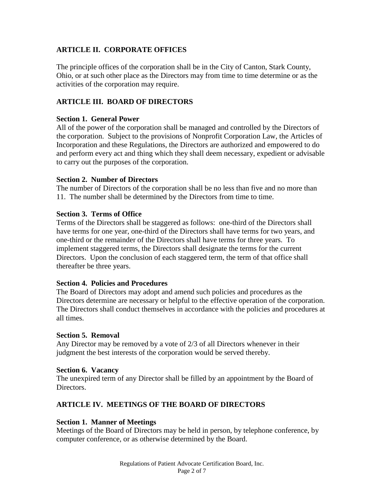# **ARTICLE II. CORPORATE OFFICES**

The principle offices of the corporation shall be in the City of Canton, Stark County, Ohio, or at such other place as the Directors may from time to time determine or as the activities of the corporation may require.

# **ARTICLE III. BOARD OF DIRECTORS**

# **Section 1. General Power**

All of the power of the corporation shall be managed and controlled by the Directors of the corporation. Subject to the provisions of Nonprofit Corporation Law, the Articles of Incorporation and these Regulations, the Directors are authorized and empowered to do and perform every act and thing which they shall deem necessary, expedient or advisable to carry out the purposes of the corporation.

# **Section 2. Number of Directors**

The number of Directors of the corporation shall be no less than five and no more than 11. The number shall be determined by the Directors from time to time.

# **Section 3. Terms of Office**

Terms of the Directors shall be staggered as follows: one-third of the Directors shall have terms for one year, one-third of the Directors shall have terms for two years, and one-third or the remainder of the Directors shall have terms for three years. To implement staggered terms, the Directors shall designate the terms for the current Directors. Upon the conclusion of each staggered term, the term of that office shall thereafter be three years.

### **Section 4. Policies and Procedures**

The Board of Directors may adopt and amend such policies and procedures as the Directors determine are necessary or helpful to the effective operation of the corporation. The Directors shall conduct themselves in accordance with the policies and procedures at all times.

### **Section 5. Removal**

Any Director may be removed by a vote of 2/3 of all Directors whenever in their judgment the best interests of the corporation would be served thereby.

### **Section 6. Vacancy**

The unexpired term of any Director shall be filled by an appointment by the Board of Directors.

# **ARTICLE IV. MEETINGS OF THE BOARD OF DIRECTORS**

# **Section 1. Manner of Meetings**

Meetings of the Board of Directors may be held in person, by telephone conference, by computer conference, or as otherwise determined by the Board.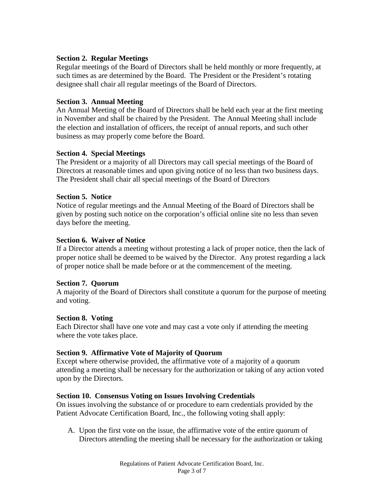# **Section 2. Regular Meetings**

Regular meetings of the Board of Directors shall be held monthly or more frequently, at such times as are determined by the Board. The President or the President's rotating designee shall chair all regular meetings of the Board of Directors.

# **Section 3. Annual Meeting**

An Annual Meeting of the Board of Directors shall be held each year at the first meeting in November and shall be chaired by the President. The Annual Meeting shall include the election and installation of officers, the receipt of annual reports, and such other business as may properly come before the Board.

# **Section 4. Special Meetings**

The President or a majority of all Directors may call special meetings of the Board of Directors at reasonable times and upon giving notice of no less than two business days. The President shall chair all special meetings of the Board of Directors

# **Section 5. Notice**

Notice of regular meetings and the Annual Meeting of the Board of Directors shall be given by posting such notice on the corporation's official online site no less than seven days before the meeting.

### **Section 6. Waiver of Notice**

If a Director attends a meeting without protesting a lack of proper notice, then the lack of proper notice shall be deemed to be waived by the Director. Any protest regarding a lack of proper notice shall be made before or at the commencement of the meeting.

### **Section 7. Quorum**

A majority of the Board of Directors shall constitute a quorum for the purpose of meeting and voting.

### **Section 8. Voting**

Each Director shall have one vote and may cast a vote only if attending the meeting where the vote takes place.

# **Section 9. Affirmative Vote of Majority of Quorum**

Except where otherwise provided, the affirmative vote of a majority of a quorum attending a meeting shall be necessary for the authorization or taking of any action voted upon by the Directors.

### **Section 10. Consensus Voting on Issues Involving Credentials**

On issues involving the substance of or procedure to earn credentials provided by the Patient Advocate Certification Board, Inc., the following voting shall apply:

A. Upon the first vote on the issue, the affirmative vote of the entire quorum of Directors attending the meeting shall be necessary for the authorization or taking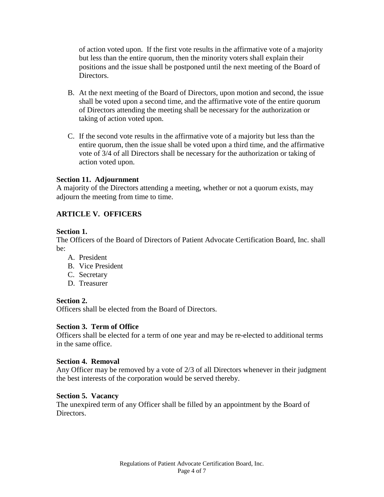of action voted upon. If the first vote results in the affirmative vote of a majority but less than the entire quorum, then the minority voters shall explain their positions and the issue shall be postponed until the next meeting of the Board of Directors.

- B. At the next meeting of the Board of Directors, upon motion and second, the issue shall be voted upon a second time, and the affirmative vote of the entire quorum of Directors attending the meeting shall be necessary for the authorization or taking of action voted upon.
- C. If the second vote results in the affirmative vote of a majority but less than the entire quorum, then the issue shall be voted upon a third time, and the affirmative vote of 3/4 of all Directors shall be necessary for the authorization or taking of action voted upon.

# **Section 11. Adjournment**

A majority of the Directors attending a meeting, whether or not a quorum exists, may adjourn the meeting from time to time.

# **ARTICLE V. OFFICERS**

### **Section 1.**

The Officers of the Board of Directors of Patient Advocate Certification Board, Inc. shall be:

- A. President
- B. Vice President
- C. Secretary
- D. Treasurer

# **Section 2.**

Officers shall be elected from the Board of Directors.

# **Section 3. Term of Office**

Officers shall be elected for a term of one year and may be re-elected to additional terms in the same office.

### **Section 4. Removal**

Any Officer may be removed by a vote of 2/3 of all Directors whenever in their judgment the best interests of the corporation would be served thereby.

### **Section 5. Vacancy**

The unexpired term of any Officer shall be filled by an appointment by the Board of Directors.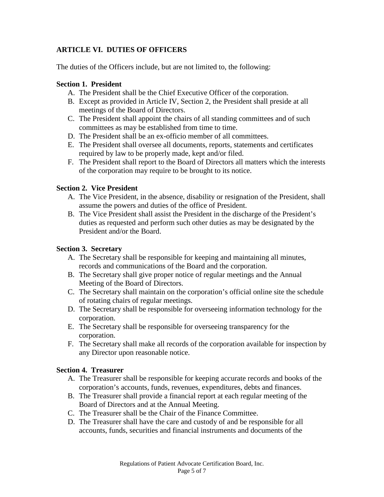# **ARTICLE VI. DUTIES OF OFFICERS**

The duties of the Officers include, but are not limited to, the following:

# **Section 1. President**

- A. The President shall be the Chief Executive Officer of the corporation.
- B. Except as provided in Article IV, Section 2, the President shall preside at all meetings of the Board of Directors.
- C. The President shall appoint the chairs of all standing committees and of such committees as may be established from time to time.
- D. The President shall be an ex-officio member of all committees.
- E. The President shall oversee all documents, reports, statements and certificates required by law to be properly made, kept and/or filed.
- F. The President shall report to the Board of Directors all matters which the interests of the corporation may require to be brought to its notice.

# **Section 2. Vice President**

- A. The Vice President, in the absence, disability or resignation of the President, shall assume the powers and duties of the office of President.
- B. The Vice President shall assist the President in the discharge of the President's duties as requested and perform such other duties as may be designated by the President and/or the Board.

# **Section 3. Secretary**

- A. The Secretary shall be responsible for keeping and maintaining all minutes, records and communications of the Board and the corporation.
- B. The Secretary shall give proper notice of regular meetings and the Annual Meeting of the Board of Directors.
- C. The Secretary shall maintain on the corporation's official online site the schedule of rotating chairs of regular meetings.
- D. The Secretary shall be responsible for overseeing information technology for the corporation.
- E. The Secretary shall be responsible for overseeing transparency for the corporation.
- F. The Secretary shall make all records of the corporation available for inspection by any Director upon reasonable notice.

# **Section 4. Treasurer**

- A. The Treasurer shall be responsible for keeping accurate records and books of the corporation's accounts, funds, revenues, expenditures, debts and finances.
- B. The Treasurer shall provide a financial report at each regular meeting of the Board of Directors and at the Annual Meeting.
- C. The Treasurer shall be the Chair of the Finance Committee.
- D. The Treasurer shall have the care and custody of and be responsible for all accounts, funds, securities and financial instruments and documents of the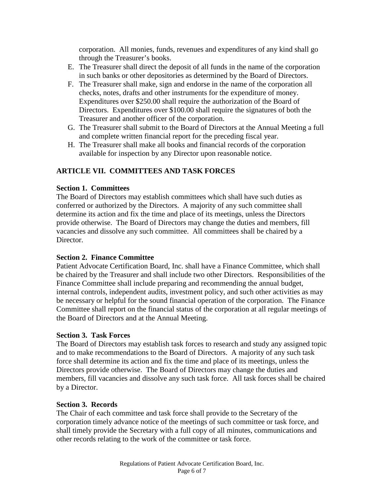corporation. All monies, funds, revenues and expenditures of any kind shall go through the Treasurer's books.

- E. The Treasurer shall direct the deposit of all funds in the name of the corporation in such banks or other depositories as determined by the Board of Directors.
- F. The Treasurer shall make, sign and endorse in the name of the corporation all checks, notes, drafts and other instruments for the expenditure of money. Expenditures over \$250.00 shall require the authorization of the Board of Directors. Expenditures over \$100.00 shall require the signatures of both the Treasurer and another officer of the corporation.
- G. The Treasurer shall submit to the Board of Directors at the Annual Meeting a full and complete written financial report for the preceding fiscal year.
- H. The Treasurer shall make all books and financial records of the corporation available for inspection by any Director upon reasonable notice.

# **ARTICLE VII. COMMITTEES AND TASK FORCES**

# **Section 1. Committees**

The Board of Directors may establish committees which shall have such duties as conferred or authorized by the Directors. A majority of any such committee shall determine its action and fix the time and place of its meetings, unless the Directors provide otherwise. The Board of Directors may change the duties and members, fill vacancies and dissolve any such committee. All committees shall be chaired by a Director.

# **Section 2. Finance Committee**

Patient Advocate Certification Board, Inc. shall have a Finance Committee, which shall be chaired by the Treasurer and shall include two other Directors. Responsibilities of the Finance Committee shall include preparing and recommending the annual budget, internal controls, independent audits, investment policy, and such other activities as may be necessary or helpful for the sound financial operation of the corporation. The Finance Committee shall report on the financial status of the corporation at all regular meetings of the Board of Directors and at the Annual Meeting.

### **Section 3. Task Forces**

The Board of Directors may establish task forces to research and study any assigned topic and to make recommendations to the Board of Directors. A majority of any such task force shall determine its action and fix the time and place of its meetings, unless the Directors provide otherwise. The Board of Directors may change the duties and members, fill vacancies and dissolve any such task force. All task forces shall be chaired by a Director.

### **Section 3. Records**

The Chair of each committee and task force shall provide to the Secretary of the corporation timely advance notice of the meetings of such committee or task force, and shall timely provide the Secretary with a full copy of all minutes, communications and other records relating to the work of the committee or task force.